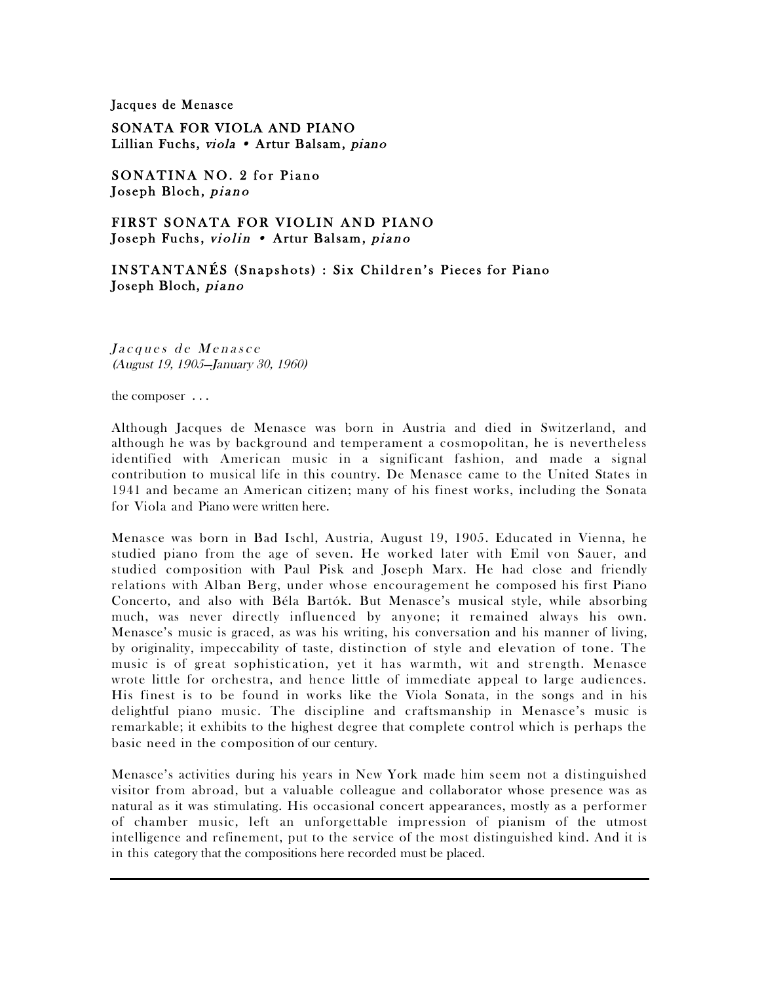## Jacques de Menasce

SONATA FOR VIOLA AND PIANO Lillian Fuchs, viola • Artur Balsam, piano

SONATINA NO. 2 for Piano Joseph Bloch, piano

FIRST SONATA FOR VIOLIN AND PIANO Joseph Fuchs, violin . Artur Balsam, piano

INSTANTANÉS (Snapshots) : Six Children's Pieces for Piano Joseph Bloch, piano

Jacques de Menasce (August 19, 1905—January 30, 1960)

the composer . . .

Although Jacques de Menasce was born in Austria and died in Switzerland, and although he was by background and temperament a cosmopolitan, he is nevertheless identified with American music in a significant fashion, and made a signal contribution to musical life in this country. De Menasce came to the United States in 1941 and became an American citizen; many of his finest works, including the Sonata for Viola and Piano were written here.

Menasce was born in Bad Ischl, Austria, August 19, 1905. Educated in Vienna, he studied piano from the age of seven. He worked later with Emil von Sauer, and studied composition with Paul Pisk and Joseph Marx. He had close and friendly relations with Alban Berg, under whose encouragement he composed his first Piano Concerto, and also with Béla Bartók. But Menasce's musical style, while absorbing much, was never directly influenced by anyone; it remained always his own. Menasce's music is graced, as was his writing, his conversation and his manner of living, by originality, impeccability of taste, distinction of style and elevation of tone. The music is of great sophistication, yet it has warmth, wit and strength. Menasce wrote little for orchestra, and hence little of immediate appeal to large audiences. His finest is to be found in works like the Viola Sonata, in the songs and in his delightful piano music. The discipline and craftsmanship in Menasce's music is remarkable; it exhibits to the highest degree that complete control which is perhaps the basic need in the composition of our century.

Menasce's activities during his years in New York made him seem not a distinguished visitor from abroad, but a valuable colleague and collaborator whose presence was as natural as it was stimulating. His occasional concert appearances, mostly as a performer of chamber music, left an unforgettable impression of pianism of the utmost intelligence and refinement, put to the service of the most distinguished kind. And it is in this category that the compositions here recorded must be placed.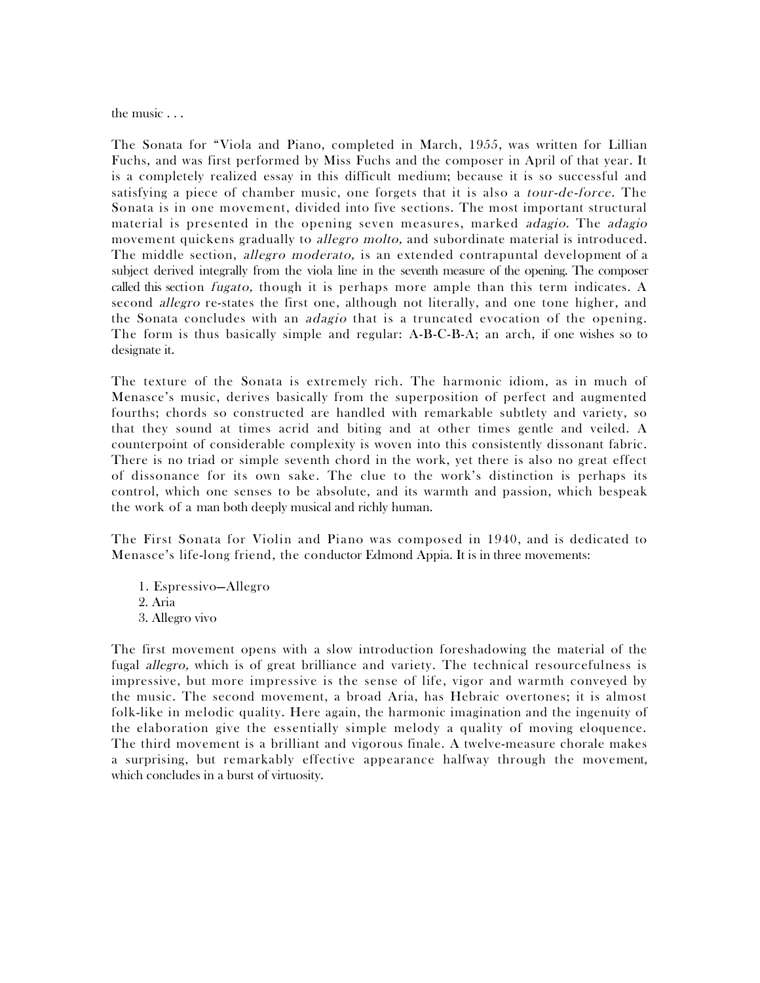the music . . .

The Sonata for "Viola and Piano, completed in March, 1955, was written for Lillian Fuchs, and was first performed by Miss Fuchs and the composer in April of that year. It is a completely realized essay in this difficult medium; because it is so successful and satisfying a piece of chamber music, one forgets that it is also a *tour-de-force*. The Sonata is in one movement, divided into five sections. The most important structural material is presented in the opening seven measures, marked adagio. The adagio movement quickens gradually to *allegro molto*, and subordinate material is introduced. The middle section, *allegro moderato*, is an extended contrapuntal development of a subject derived integrally from the viola line in the seventh measure of the opening. The composer called this section *fugato*, though it is perhaps more ample than this term indicates. A second *allegro* re-states the first one, although not literally, and one tone higher, and the Sonata concludes with an *adagio* that is a truncated evocation of the opening. The form is thus basically simple and regular: A-B-C-B-A; an arch, if one wishes so to designate it.

The texture of the Sonata is extremely rich. The harmonic idiom, as in much of Menasce's music, derives basically from the superposition of perfect and augmented fourths; chords so constructed are handled with remarkable subtlety and variety, so that they sound at times acrid and biting and at other times gentle and veiled. A counterpoint of considerable complexity is woven into this consistently dissonant fabric. There is no triad or simple seventh chord in the work, yet there is also no great effect of dissonance for its own sake. The clue to the work's distinction is perhaps its control, which one senses to be absolute, and its warmth and passion, which bespeak the work of a man both deeply musical and richly human.

The First Sonata for Violin and Piano was composed in 1940, and is dedicated to Menasce's life-long friend, the conductor Edmond Appia. It is in three movements:

1. Espressivo—Allegro 2. Aria 3. Allegro vivo

The first movement opens with a slow introduction foreshadowing the material of the fugal allegro, which is of great brilliance and variety. The technical resourcefulness is impressive, but more impressive is the sense of life, vigor and warmth conveyed by the music. The second movement, a broad Aria, has Hebraic overtones; it is almost folk-like in melodic quality. Here again, the harmonic imagination and the ingenuity of the elaboration give the essentially simple melody a quality of moving eloquence. The third movement is a brilliant and vigorous finale. A twelve-measure chorale makes a surprising, but remarkably effective appearance halfway through the movement, which concludes in a burst of virtuosity.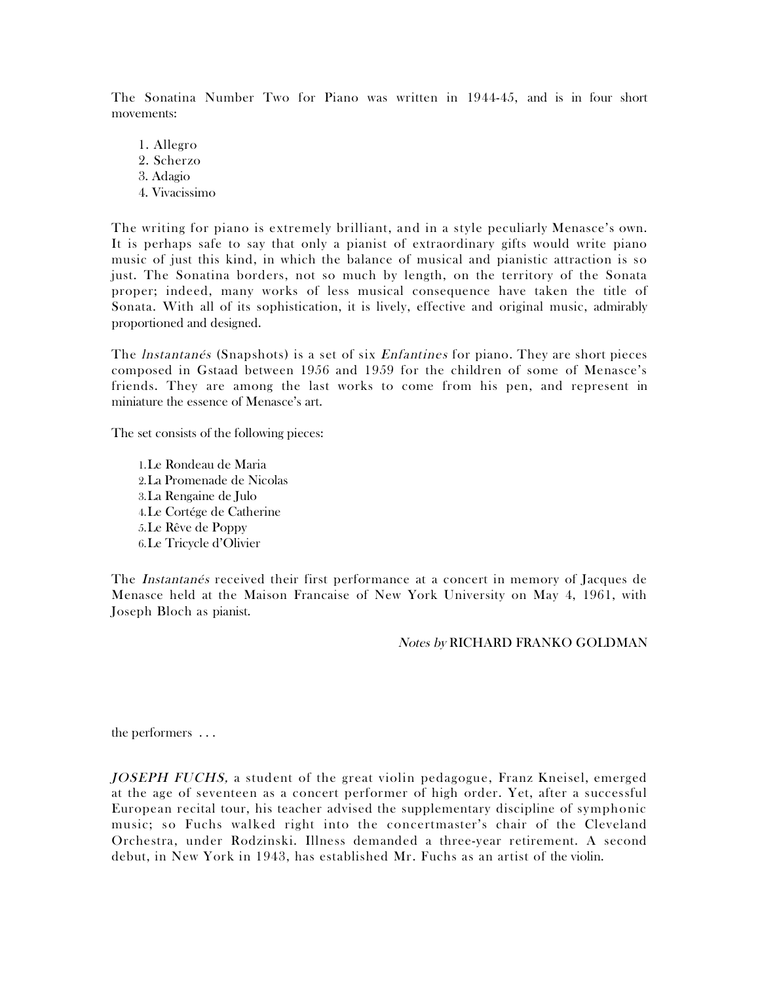The Sonatina Number Two for Piano was written in 1944-45, and is in four short movements:

1. Allegro 2. Scherzo 3. Adagio 4. Vivacissimo

The writing for piano is extremely brilliant, and in a style peculiarly Menasce's own. It is perhaps safe to say that only a pianist of extraordinary gifts would write piano music of just this kind, in which the balance of musical and pianistic attraction is so just. The Sonatina borders, not so much by length, on the territory of the Sonata proper; indeed, many works of less musical consequence have taken the title of Sonata. With all of its sophistication, it is lively, effective and original music, admirably proportioned and designed.

The *Instantanés* (Snapshots) is a set of six *Enfantines* for piano. They are short pieces composed in Gstaad between 1956 and 1959 for the children of some of Menasce's friends. They are among the last works to come from his pen, and represent in miniature the essence of Menasce's art.

The set consists of the following pieces:

1.Le Rondeau de Maria 2.La Promenade de Nicolas 3.La Rengaine de Julo 4.Le Cortége de Catherine 5.Le Rêve de Poppy 6.Le Tricycle d'Olivier

The Instantanés received their first performance at a concert in memory of Jacques de Menasce held at the Maison Francaise of New York University on May 4, 1961, with Joseph Bloch as pianist.

Notes by RICHARD FRANKO GOLDMAN

the performers . . .

JOSEPH FUCHS, a student of the great violin pedagogue, Franz Kneisel, emerged at the age of seventeen as a concert performer of high order. Yet, after a successful European recital tour, his teacher advised the supplementary discipline of symphonic music; so Fuchs walked right into the concertmaster's chair of the Cleveland Orchestra, under Rodzinski. Illness demanded a three-year retirement. A second debut, in New York in 1943, has established Mr. Fuchs as an artist of the violin.